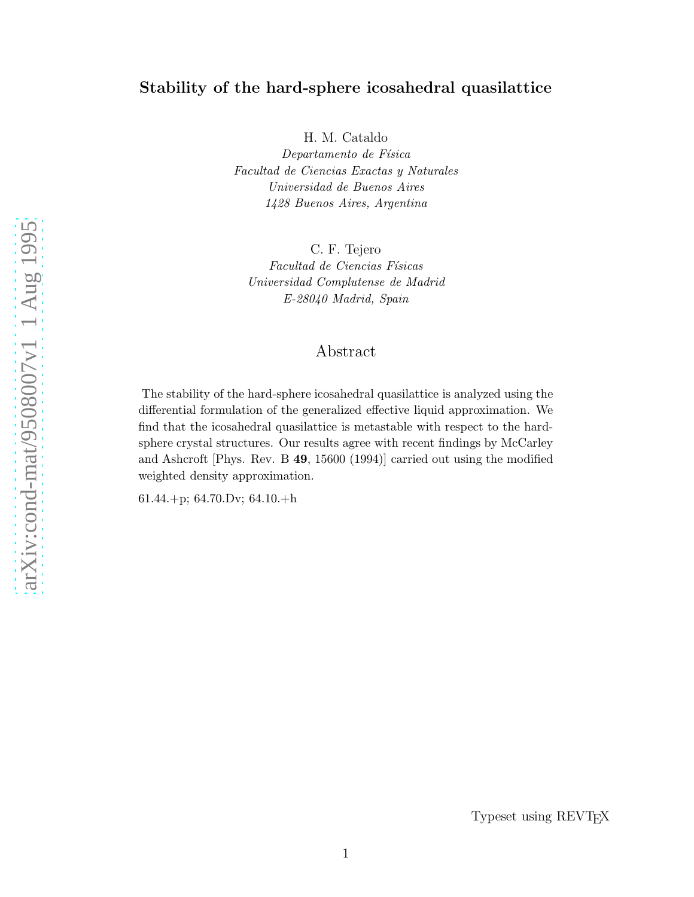# Stability of the hard-sphere icosahedral quasilattice

H. M. Cataldo

Departamento de Física Facultad de Ciencias Exactas y Naturales Universidad de Buenos Aires 1428 Buenos Aires, Argentina

C. F. Tejero Facultad de Ciencias Físicas Universidad Complutense de Madrid E-28040 Madrid, Spain

# Abstract

The stability of the hard-sphere icosahedral quasilattice is analyzed using the differential formulation of the generalized effective liquid approximation. We find that the icosahedral quasilattice is metastable with respect to the hardsphere crystal structures. Our results agree with recent findings by McCarley and Ashcroft [Phys. Rev. B 49, 15600 (1994)] carried out using the modified weighted density approximation.

61.44.+p; 64.70.Dv; 64.10.+h

Typeset using REVTEX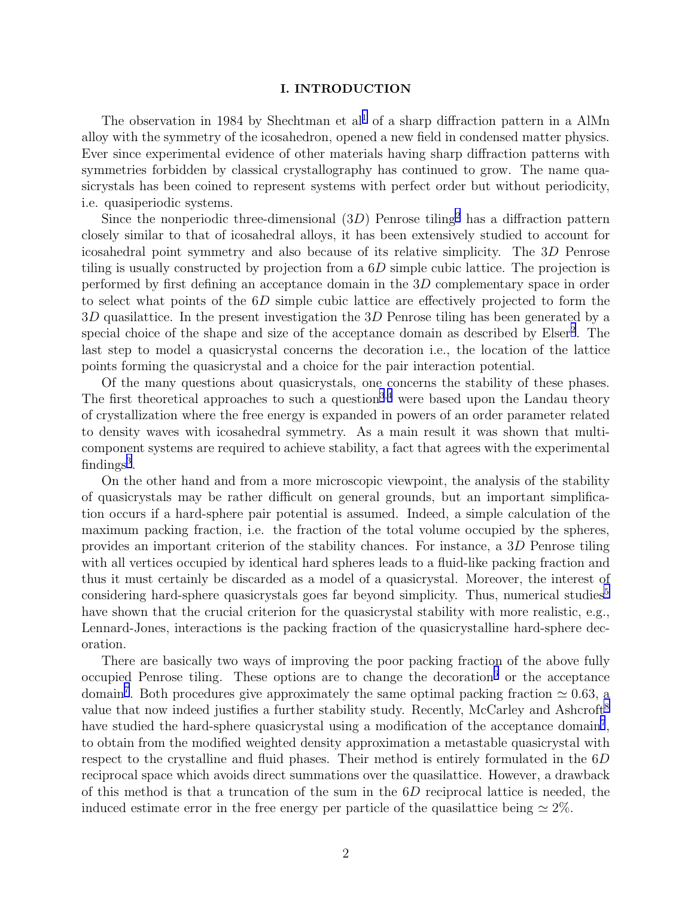#### I. INTRODUCTION

The observation in [1](#page-8-0)984 by Shechtman et  $al<sup>1</sup>$  of a sharp diffraction pattern in a AlMn alloy with the symmetry of the icosahedron, opened a new field in condensed matter physics. Ever since experimental evidence of other materials having sharp diffraction patterns with symmetries forbidden by classical crystallography has continued to grow. The name quasicrystals has been coined to represent systems with perfect order but without periodicity, i.e. quasiperiodic systems.

Since the nonperiodic three-dimensional  $(3D)$  Penrose tiling<sup>[2](#page-8-0)</sup> has a diffraction pattern closely similar to that of icosahedral alloys, it has been extensively studied to account for icosahedral point symmetry and also because of its relative simplicity. The 3D Penrose tiling is usually constructed by projection from a  $6D$  simple cubic lattice. The projection is performed by first defining an acceptance domain in the 3D complementary space in order to select what points of the 6D simple cubic lattice are effectively projected to form the 3D quasilattice. In the present investigation the 3D Penrose tiling has been generated by a special choice of the shape and size of the acceptance domain as described by Elser<sup>[2](#page-8-0)</sup>. The last step to model a quasicrystal concerns the decoration i.e., the location of the lattice points forming the quasicrystal and a choice for the pair interaction potential.

Of the many questions about quasicrystals, one concerns the stability of these phases. The first theoretical approaches to such a question<sup>[3](#page-8-0),[4](#page-8-0)</sup> were based upon the Landau theory of crystallization where the free energy is expanded in powers of an order parameter related to density waves with icosahedral symmetry. As a main result it was shown that multicomponent systems are required to achieve stability, a fact that agrees with the experimental  $findings<sup>3</sup>$  $findings<sup>3</sup>$  $findings<sup>3</sup>$ .

On the other hand and from a more microscopic viewpoint, the analysis of the stability of quasicrystals may be rather difficult on general grounds, but an important simplification occurs if a hard-sphere pair potential is assumed. Indeed, a simple calculation of the maximum packing fraction, i.e. the fraction of the total volume occupied by the spheres, provides an important criterion of the stability chances. For instance, a 3D Penrose tiling with all vertices occupied by identical hard spheres leads to a fluid-like packing fraction and thus it must certainly be discarded as a model of a quasicrystal. Moreover, the interest of considering hard-sphere quasicrystals goes far beyond simplicity. Thus, numerical studies<sup>[5](#page-8-0)</sup> have shown that the crucial criterion for the quasicrystal stability with more realistic, e.g., Lennard-Jones, interactions is the packing fraction of the quasicrystalline hard-sphere decoration.

There are basically two ways of improving the poor packing fraction of the above fully occupied Penrose tiling. These options are to change the decoration  $6$  or the acceptance domain<sup>[7](#page-8-0)</sup>. Both procedures give approximately the same optimal packing fraction  $\simeq 0.63$ , a value that now indeed justifies a further stability study. Recently, McCarley and Ashcroft<sup>[8](#page-8-0)</sup> have studied the hard-sphere quasicrystal using a modification of the acceptance domain<sup>[7](#page-8-0)</sup>, to obtain from the modified weighted density approximation a metastable quasicrystal with respect to the crystalline and fluid phases. Their method is entirely formulated in the 6D reciprocal space which avoids direct summations over the quasilattice. However, a drawback of this method is that a truncation of the sum in the 6D reciprocal lattice is needed, the induced estimate error in the free energy per particle of the quasilattice being  $\simeq 2\%$ .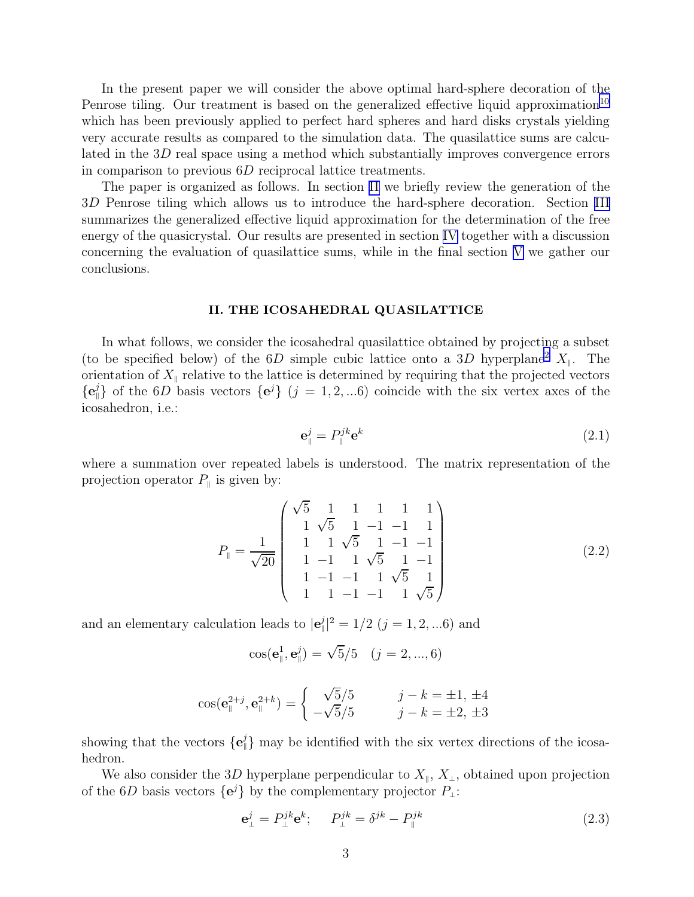<span id="page-2-0"></span>In the present paper we will consider the above optimal hard-sphere decoration of the Penrose tiling. Our treatment is based on the generalized effective liquid approximation<sup>[10](#page-8-0)</sup> which has been previously applied to perfect hard spheres and hard disks crystals yielding very accurate results as compared to the simulation data. The quasilattice sums are calculated in the 3D real space using a method which substantially improves convergence errors in comparison to previous 6D reciprocal lattice treatments.

The paper is organized as follows. In section II we briefly review the generation of the 3D Penrose tiling which allows us to introduce the hard-sphere decoration. Section [III](#page-4-0) summarizes the generalized effective liquid approximation for the determination of the free energy of the quasicrystal. Our results are presented in section [IV](#page-5-0) together with a discussion concerning the evaluation of quasilattice sums, while in the final section [V](#page-7-0) we gather our conclusions.

### II. THE ICOSAHEDRAL QUASILATTICE

In what follows, we consider the icosahedral quasilattice obtained by projecting a subset (to be specified below) of the 6D simple cubic lattice onto a 3D hyperplane<sup>[2](#page-8-0)</sup>  $X_{\parallel}$ . The orientation of  $X_{\parallel}$  relative to the lattice is determined by requiring that the projected vectors  ${e^j\}\$  of the 6D basis vectors  ${e^j\}$  (j = 1, 2, ...6) coincide with the six vertex axes of the icosahedron, i.e.:

$$
\mathbf{e}_{\parallel}^{j} = P_{\parallel}^{jk} \mathbf{e}^{k} \tag{2.1}
$$

where a summation over repeated labels is understood. The matrix representation of the projection operator  $P_{\parallel}$  is given by:

$$
P_{\parallel} = \frac{1}{\sqrt{20}} \begin{pmatrix} \sqrt{5} & 1 & 1 & 1 & 1 & 1 \\ 1 & \sqrt{5} & 1 & -1 & -1 & 1 \\ 1 & 1 & \sqrt{5} & 1 & -1 & -1 \\ 1 & -1 & 1 & \sqrt{5} & 1 & -1 \\ 1 & -1 & -1 & 1 & \sqrt{5} & 1 \\ 1 & 1 & -1 & -1 & 1 & \sqrt{5} \end{pmatrix}
$$
(2.2)

and an elementary calculation leads to  $|e_{\parallel}^{j}|^{2} = 1/2$   $(j = 1, 2, ... 6)$  and

$$
\cos(\mathbf{e}_{\parallel}^1, \mathbf{e}_{\parallel}^j) = \sqrt{5}/5 \quad (j = 2, ..., 6)
$$

$$
\cos(\mathbf{e}_{\parallel}^{2+j}, \mathbf{e}_{\parallel}^{2+k}) = \begin{cases} \sqrt{5}/5 & j-k = \pm 1, \pm 4\\ -\sqrt{5}/5 & j-k = \pm 2, \pm 3 \end{cases}
$$

showing that the vectors  $\{e_{\parallel}^j\}$  may be identified with the six vertex directions of the icosahedron.

We also consider the 3D hyperplane perpendicular to  $X_{\parallel}$ ,  $X_{\perp}$ , obtained upon projection of the 6D basis vectors  ${e^j}$  by the complementary projector  $P_{\perp}$ :

$$
\mathbf{e}^j_{\perp} = P^{jk}_{\perp} \mathbf{e}^k; \qquad P^{jk}_{\perp} = \delta^{jk} - P^{jk}_{\parallel} \tag{2.3}
$$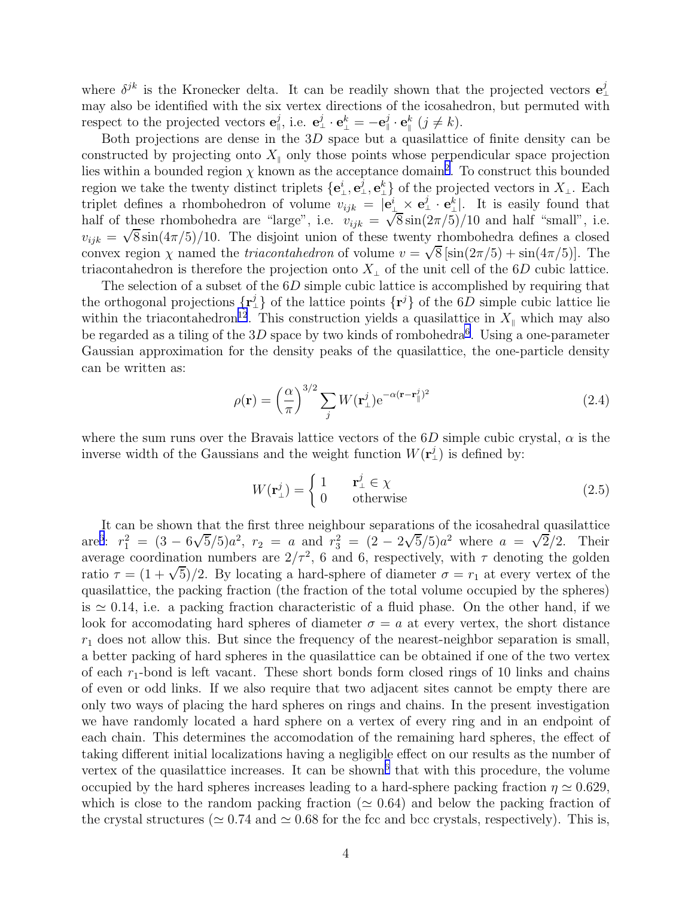<span id="page-3-0"></span>where  $\delta^{jk}$  is the Kronecker delta. It can be readily shown that the projected vectors  $e^j_{\perp}$ may also be identified with the six vertex directions of the icosahedron, but permuted with respect to the projected vectors  $\mathbf{e}_{\perp}^j$ , i.e.  $\mathbf{e}_{\perp}^j \cdot \mathbf{e}_{\perp}^k = -\mathbf{e}_{\parallel}^j \cdot \mathbf{e}_{\parallel}^k$  ( $j \neq k$ ).

Both projections are dense in the  $3D$  space but a quasilattice of finite density can be constructed by projecting onto  $X_{\parallel}$  only those points whose perpendicular space projection lies within a bounded region  $\chi$  known as the acceptance domain<sup>[2](#page-8-0)</sup>. To construct this bounded region we take the twenty distinct triplets  $\{e^i_{\perp}, e^j_{\perp}, e^k_{\perp}\}$  of the projected vectors in  $X_{\perp}$ . Each triplet defines a rhombohedron of volume  $v_{ijk} = \vec{e}^i_{\perp} \times \vec{e}^j_{\perp} \cdot \vec{e}^k_{\perp}$ . It is easily found that half of these rhombohedra are "large", i.e.  $v_{ijk} = \sqrt{8} \sin(2\pi/5)/10$  and half "small", i.e.  $v_{ijk} = \sqrt{8} \sin(4\pi/5)/10$ . The disjoint union of these twenty rhombohedra defines a closed convex region  $\chi$  named the *triacontahedron* of volume  $v = \sqrt{8} [\sin(2\pi/5) + \sin(4\pi/5)]$ . The triacontahedron is therefore the projection onto  $X_{\perp}$  of the unit cell of the 6D cubic lattice.

The selection of a subset of the 6D simple cubic lattice is accomplished by requiring that the orthogonal projections  $\{r^j\}$  of the lattice points  $\{r^j\}$  of the 6D simple cubic lattice lie within the triacontahedron<sup>[12](#page-8-0)</sup>. This construction yields a quasilattice in  $X_{\parallel}$  which may also be regarded as a tiling of the  $3D$  space by two kinds of rombohedra<sup>[6](#page-8-0)</sup>. Using a one-parameter Gaussian approximation for the density peaks of the quasilattice, the one-particle density can be written as:

$$
\rho(\mathbf{r}) = \left(\frac{\alpha}{\pi}\right)^{3/2} \sum_{j} W(\mathbf{r}_{\perp}^{j}) e^{-\alpha(\mathbf{r} - \mathbf{r}_{\parallel}^{j})^{2}}
$$
(2.4)

where the sum runs over the Bravais lattice vectors of the  $6D$  simple cubic crystal,  $\alpha$  is the inverse width of the Gaussians and the weight function  $W(\mathbf{r}^j_{\perp})$  is defined by:

$$
W(\mathbf{r}_{\perp}^{j}) = \begin{cases} 1 & \mathbf{r}_{\perp}^{j} \in \chi \\ 0 & \text{otherwise} \end{cases}
$$
 (2.5)

It can be shown that the first three neighbour separations of the icosahedral quasilattice are<sup>[6](#page-8-0)</sup>:  $r_1^2 = (3 - 6\sqrt{5}/5)a^2$ ,  $r_2 = a$  and  $r_3^2 = (2 - 2\sqrt{5}/5)a^2$  where  $a = \sqrt{2}/2$ . Their average coordination numbers are  $2/\tau^2$ , 6 and 6, respectively, with  $\tau$  denoting the golden ratio  $\tau = (1 + \sqrt{5})/2$ . By locating a hard-sphere of diameter  $\sigma = r_1$  at every vertex of the quasilattice, the packing fraction (the fraction of the total volume occupied by the spheres) is  $\simeq 0.14$ , i.e. a packing fraction characteristic of a fluid phase. On the other hand, if we look for accomodating hard spheres of diameter  $\sigma = a$  at every vertex, the short distance  $r_1$  does not allow this. But since the frequency of the nearest-neighbor separation is small, a better packing of hard spheres in the quasilattice can be obtained if one of the two vertex of each  $r_1$ -bond is left vacant. These short bonds form closed rings of 10 links and chains of even or odd links. If we also require that two adjacent sites cannot be empty there are only two ways of placing the hard spheres on rings and chains. In the present investigation we have randomly located a hard sphere on a vertex of every ring and in an endpoint of each chain. This determines the accomodation of the remaining hard spheres, the effect of taking different initial localizations having a negligible effect on our results as the number of vertex of the quasilattice increases. It can be shown<sup>[6](#page-8-0)</sup> that with this procedure, the volume occupied by the hard spheres increases leading to a hard-sphere packing fraction  $\eta \simeq 0.629$ , which is close to the random packing fraction ( $\simeq 0.64$ ) and below the packing fraction of the crystal structures ( $\simeq 0.74$  and  $\simeq 0.68$  for the fcc and bcc crystals, respectively). This is,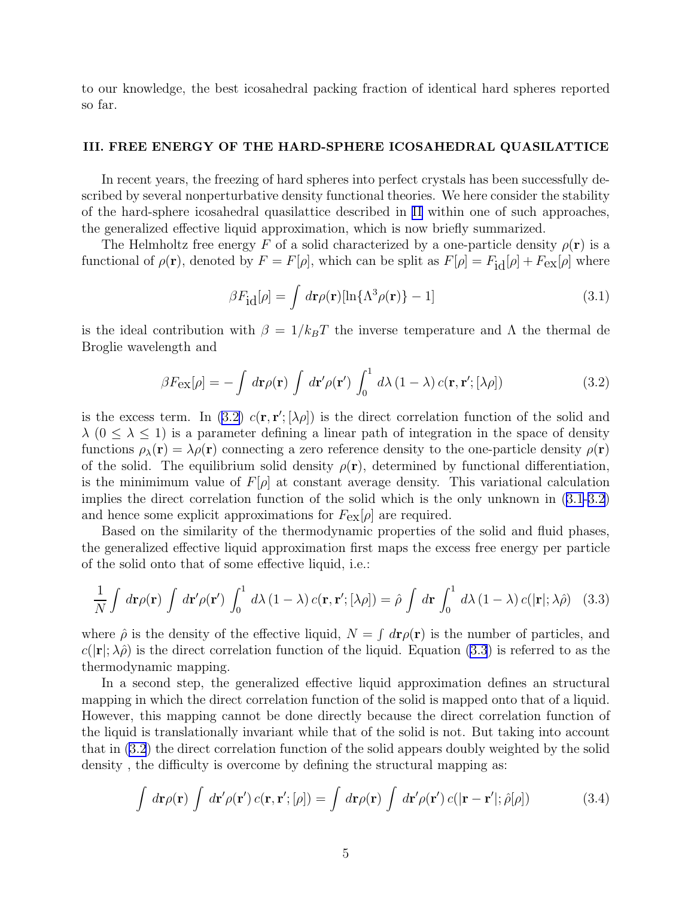<span id="page-4-0"></span>to our knowledge, the best icosahedral packing fraction of identical hard spheres reported so far.

#### III. FREE ENERGY OF THE HARD-SPHERE ICOSAHEDRAL QUASILATTICE

In recent years, the freezing of hard spheres into perfect crystals has been successfully described by several nonperturbative density functional theories. We here consider the stability of the hard-sphere icosahedral quasilattice described in [II](#page-2-0) within one of such approaches, the generalized effective liquid approximation, which is now briefly summarized.

The Helmholtz free energy F of a solid characterized by a one-particle density  $\rho(\mathbf{r})$  is a functional of  $\rho(\mathbf{r})$ , denoted by  $F = F[\rho]$ , which can be split as  $F[\rho] = F_{\text{id}}[\rho] + F_{\text{ex}}[\rho]$  where

$$
\beta F_{\text{id}}[\rho] = \int d\mathbf{r} \rho(\mathbf{r})[\ln\{\Lambda^3 \rho(\mathbf{r})\} - 1] \tag{3.1}
$$

is the ideal contribution with  $\beta = 1/k_B T$  the inverse temperature and  $\Lambda$  the thermal de Broglie wavelength and

$$
\beta F_{\text{ex}}[\rho] = -\int d\mathbf{r}\rho(\mathbf{r}) \int d\mathbf{r}' \rho(\mathbf{r}') \int_0^1 d\lambda (1-\lambda) c(\mathbf{r}, \mathbf{r}';[\lambda \rho]) \tag{3.2}
$$

is the excess term. In (3.2)  $c(\mathbf{r}, \mathbf{r}'; [\lambda \rho])$  is the direct correlation function of the solid and  $\lambda$  ( $0 \leq \lambda \leq 1$ ) is a parameter defining a linear path of integration in the space of density functions  $\rho_{\lambda}(\mathbf{r}) = \lambda \rho(\mathbf{r})$  connecting a zero reference density to the one-particle density  $\rho(\mathbf{r})$ of the solid. The equilibrium solid density  $\rho(\mathbf{r})$ , determined by functional differentiation, is the minimimum value of  $F[\rho]$  at constant average density. This variational calculation implies the direct correlation function of the solid which is the only unknown in (3.1-3.2) and hence some explicit approximations for  $F_{ex}[\rho]$  are required.

Based on the similarity of the thermodynamic properties of the solid and fluid phases, the generalized effective liquid approximation first maps the excess free energy per particle of the solid onto that of some effective liquid, i.e.:

$$
\frac{1}{N} \int d\mathbf{r} \rho(\mathbf{r}) \int d\mathbf{r}' \rho(\mathbf{r}') \int_0^1 d\lambda (1-\lambda) c(\mathbf{r}, \mathbf{r}';[\lambda \rho]) = \hat{\rho} \int d\mathbf{r} \int_0^1 d\lambda (1-\lambda) c(|\mathbf{r}|; \lambda \hat{\rho}) \quad (3.3)
$$

where  $\hat{\rho}$  is the density of the effective liquid,  $N = \int d\mathbf{r} \rho(\mathbf{r})$  is the number of particles, and  $c(|\mathbf{r}|; \lambda \hat{\rho})$  is the direct correlation function of the liquid. Equation (3.3) is referred to as the thermodynamic mapping.

In a second step, the generalized effective liquid approximation defines an structural mapping in which the direct correlation function of the solid is mapped onto that of a liquid. However, this mapping cannot be done directly because the direct correlation function of the liquid is translationally invariant while that of the solid is not. But taking into account that in (3.2) the direct correlation function of the solid appears doubly weighted by the solid density , the difficulty is overcome by defining the structural mapping as:

$$
\int d\mathbf{r} \rho(\mathbf{r}) \int d\mathbf{r}' \rho(\mathbf{r}') c(\mathbf{r}, \mathbf{r}'; [\rho]) = \int d\mathbf{r} \rho(\mathbf{r}) \int d\mathbf{r}' \rho(\mathbf{r}') c(|\mathbf{r} - \mathbf{r}'; \hat{\rho}[\rho])
$$
(3.4)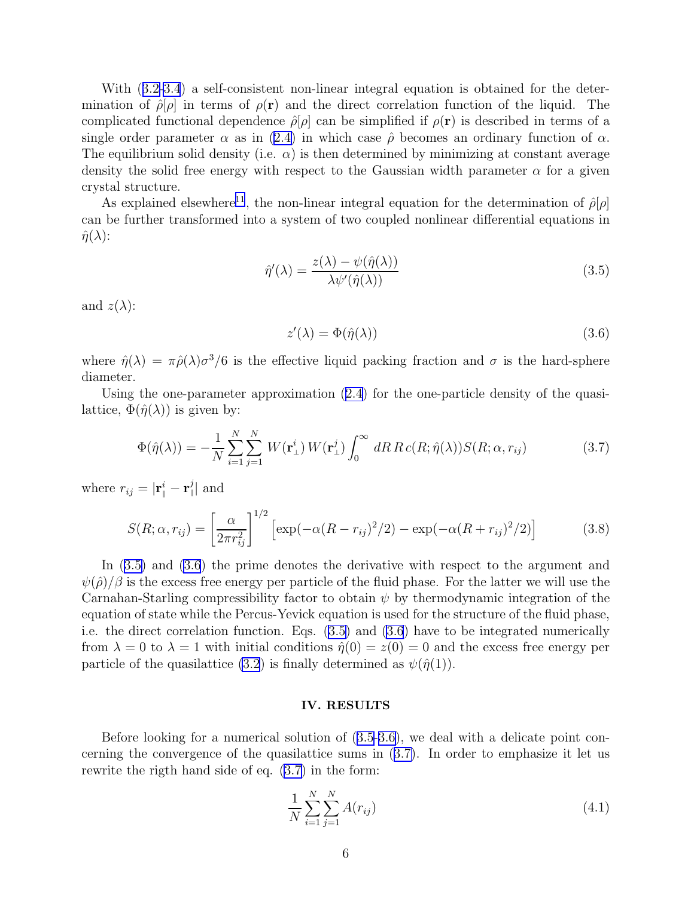<span id="page-5-0"></span>With ([3.2-3.4](#page-4-0)) a self-consistent non-linear integral equation is obtained for the determination of  $\rho[\rho]$  in terms of  $\rho(\mathbf{r})$  and the direct correlation function of the liquid. The complicated functional dependence  $\hat{\rho}[\rho]$  can be simplified if  $\rho(\mathbf{r})$  is described in terms of a single order parameter  $\alpha$  as in ([2.4\)](#page-3-0) in which case  $\hat{\rho}$  becomes an ordinary function of  $\alpha$ . The equilibrium solid density (i.e.  $\alpha$ ) is then determined by minimizing at constant average density the solid free energy with respect to the Gaussian width parameter  $\alpha$  for a given crystal structure.

As explained elsewhere<sup>[11](#page-8-0)</sup>, the non-linear integral equation for the determination of  $\hat{\rho}[\rho]$ can be further transformed into a system of two coupled nonlinear differential equations in  $\hat{\eta}(\lambda)$ :

$$
\hat{\eta}'(\lambda) = \frac{z(\lambda) - \psi(\hat{\eta}(\lambda))}{\lambda \psi'(\hat{\eta}(\lambda))}
$$
\n(3.5)

and  $z(\lambda)$ :

$$
z'(\lambda) = \Phi(\hat{\eta}(\lambda))\tag{3.6}
$$

where  $\hat{\eta}(\lambda) = \pi \hat{\rho}(\lambda) \sigma^3/6$  is the effective liquid packing fraction and  $\sigma$  is the hard-sphere diameter.

Using the one-parameter approximation ([2.4\)](#page-3-0) for the one-particle density of the quasilattice,  $\Phi(\hat{\eta}(\lambda))$  is given by:

$$
\Phi(\hat{\eta}(\lambda)) = -\frac{1}{N} \sum_{i=1}^{N} \sum_{j=1}^{N} W(\mathbf{r}_{\perp}^{i}) W(\mathbf{r}_{\perp}^{j}) \int_{0}^{\infty} dR R c(R; \hat{\eta}(\lambda)) S(R; \alpha, r_{ij})
$$
\n(3.7)

where  $r_{ij} = |\mathbf{r}_{\parallel}^i - \mathbf{r}_{\parallel}^j|$  and

$$
S(R; \alpha, r_{ij}) = \left[\frac{\alpha}{2\pi r_{ij}^2}\right]^{1/2} \left[\exp(-\alpha (R - r_{ij})^2/2) - \exp(-\alpha (R + r_{ij})^2/2)\right]
$$
(3.8)

In (3.5) and (3.6) the prime denotes the derivative with respect to the argument and  $\psi(\hat{\rho})/\beta$  is the excess free energy per particle of the fluid phase. For the latter we will use the Carnahan-Starling compressibility factor to obtain  $\psi$  by thermodynamic integration of the equation of state while the Percus-Yevick equation is used for the structure of the fluid phase, i.e. the direct correlation function. Eqs. (3.5) and (3.6) have to be integrated numerically from  $\lambda = 0$  to  $\lambda = 1$  with initial conditions  $\hat{\eta}(0) = z(0) = 0$  and the excess free energy per particle of the quasilattice [\(3.2](#page-4-0)) is finally determined as  $\psi(\hat{\eta}(1))$ .

#### IV. RESULTS

Before looking for a numerical solution of (3.5-3.6), we deal with a delicate point concerning the convergence of the quasilattice sums in (3.7). In order to emphasize it let us rewrite the rigth hand side of eq. (3.7) in the form:

$$
\frac{1}{N} \sum_{i=1}^{N} \sum_{j=1}^{N} A(r_{ij})
$$
\n(4.1)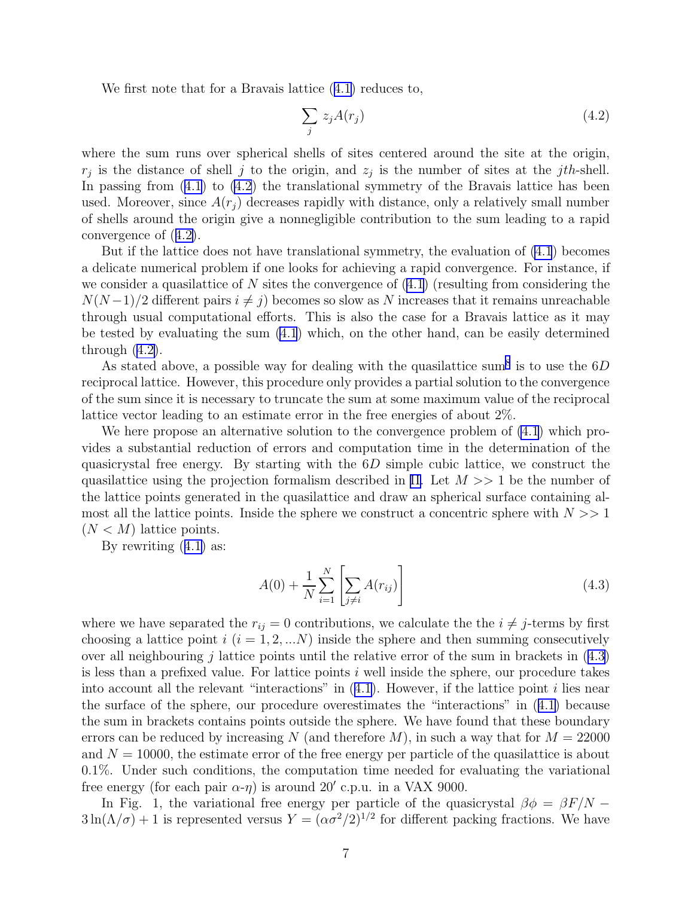We first note that for a Bravais lattice ([4.1\)](#page-5-0) reduces to,

$$
\sum_{j} z_j A(r_j) \tag{4.2}
$$

where the sum runs over spherical shells of sites centered around the site at the origin,  $r_j$  is the distance of shell j to the origin, and  $z_j$  is the number of sites at the jth-shell. In passing from  $(4.1)$  $(4.1)$  to  $(4.2)$  the translational symmetry of the Bravais lattice has been used. Moreover, since  $A(r_i)$  decreases rapidly with distance, only a relatively small number of shells around the origin give a nonnegligible contribution to the sum leading to a rapid convergence of (4.2).

But if the lattice does not have translational symmetry, the evaluation of [\(4.1](#page-5-0)) becomes a delicate numerical problem if one looks for achieving a rapid convergence. For instance, if we consider a quasilattice of N sites the convergence of  $(4.1)$  $(4.1)$  (resulting from considering the  $N(N-1)/2$  different pairs  $i \neq j$ ) becomes so slow as N increases that it remains unreachable through usual computational efforts. This is also the case for a Bravais lattice as it may be tested by evaluating the sum  $(4.1)$  $(4.1)$  which, on the other hand, can be easily determined through  $(4.2)$ .

As stated above, a possible way for dealing with the quasilattice sum<sup>[8](#page-8-0)</sup> is to use the  $6D$ reciprocal lattice. However, this procedure only provides a partial solution to the convergence of the sum since it is necessary to truncate the sum at some maximum value of the reciprocal lattice vector leading to an estimate error in the free energies of about 2%.

We here propose an alternative solution to the convergence problem of [\(4.1](#page-5-0)) which provides a substantial reduction of errors and computation time in the determination of the quasicrystal free energy. By starting with the  $6D$  simple cubic lattice, we construct the quasilattice using the projection formalism described in [II.](#page-2-0) Let  $M >> 1$  be the number of the lattice points generated in the quasilattice and draw an spherical surface containing almost all the lattice points. Inside the sphere we construct a concentric sphere with  $N >> 1$  $(N < M)$  lattice points.

By rewriting ([4.1\)](#page-5-0) as:

$$
A(0) + \frac{1}{N} \sum_{i=1}^{N} \left[ \sum_{j \neq i} A(r_{ij}) \right]
$$
 (4.3)

where we have separated the  $r_{ij} = 0$  contributions, we calculate the the  $i \neq j$ -terms by first choosing a lattice point  $i$   $(i = 1, 2, ...N)$  inside the sphere and then summing consecutively over all neighbouring j lattice points until the relative error of the sum in brackets in  $(4.3)$ is less than a prefixed value. For lattice points  $i$  well inside the sphere, our procedure takes into account all the relevant "interactions" in  $(4.1)$  $(4.1)$ . However, if the lattice point i lies near the surface of the sphere, our procedure overestimates the "interactions" in ([4.1\)](#page-5-0) because the sum in brackets contains points outside the sphere. We have found that these boundary errors can be reduced by increasing N (and therefore M), in such a way that for  $M = 22000$ and  $N = 10000$ , the estimate error of the free energy per particle of the quasilattice is about 0.1%. Under such conditions, the computation time needed for evaluating the variational free energy (for each pair  $\alpha$ - $\eta$ ) is around 20' c.p.u. in a VAX 9000.

In Fig. 1, the variational free energy per particle of the quasicrystal  $\beta \phi = \beta F/N 3\ln(\Lambda/\sigma) + 1$  is represented versus  $Y = (\alpha \sigma^2/2)^{1/2}$  for different packing fractions. We have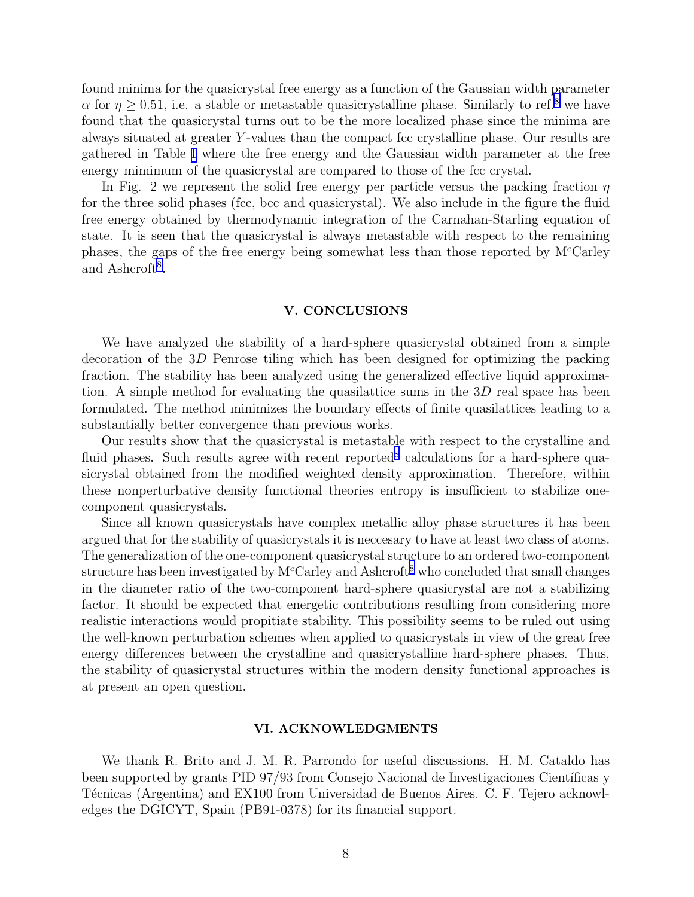<span id="page-7-0"></span>found minima for the quasicrystal free energy as a function of the Gaussian width parameter  $\alpha$  for  $\eta \geq 0.51$ , i.e. a stable or metastable quasicrystalline phase. Similarly to ref.<sup>[8](#page-8-0)</sup> we have found that the quasicrystal turns out to be the more localized phase since the minima are always situated at greater Y -values than the compact fcc crystalline phase. Our results are gathered in Table [I](#page-10-0) where the free energy and the Gaussian width parameter at the free energy mimimum of the quasicrystal are compared to those of the fcc crystal.

In Fig. 2 we represent the solid free energy per particle versus the packing fraction  $\eta$ for the three solid phases (fcc, bcc and quasicrystal). We also include in the figure the fluid free energy obtained by thermodynamic integration of the Carnahan-Starling equation of state. It is seen that the quasicrystal is always metastable with respect to the remaining phases, the gaps of the free energy being somewhat less than those reported by  $M<sup>c</sup>Carley$ and Ashcroft<sup>[8](#page-8-0)</sup>.

### V. CONCLUSIONS

We have analyzed the stability of a hard-sphere quasicrystal obtained from a simple decoration of the 3D Penrose tiling which has been designed for optimizing the packing fraction. The stability has been analyzed using the generalized effective liquid approximation. A simple method for evaluating the quasilattice sums in the  $3D$  real space has been formulated. The method minimizes the boundary effects of finite quasilattices leading to a substantially better convergence than previous works.

Our results show that the quasicrystal is metastable with respect to the crystalline and fluid phases. Such results agree with recent reported<sup>[8](#page-8-0)</sup> calculations for a hard-sphere quasicrystal obtained from the modified weighted density approximation. Therefore, within these nonperturbative density functional theories entropy is insufficient to stabilize onecomponent quasicrystals.

Since all known quasicrystals have complex metallic alloy phase structures it has been argued that for the stability of quasicrystals it is neccesary to have at least two class of atoms. The generalization of the one-component quasicrystal structure to an ordered two-component structure has been investigated by  $M<sup>c</sup>$ Carley and Ashcroft<sup>[8](#page-8-0)</sup> who concluded that small changes in the diameter ratio of the two-component hard-sphere quasicrystal are not a stabilizing factor. It should be expected that energetic contributions resulting from considering more realistic interactions would propitiate stability. This possibility seems to be ruled out using the well-known perturbation schemes when applied to quasicrystals in view of the great free energy differences between the crystalline and quasicrystalline hard-sphere phases. Thus, the stability of quasicrystal structures within the modern density functional approaches is at present an open question.

### VI. ACKNOWLEDGMENTS

We thank R. Brito and J. M. R. Parrondo for useful discussions. H. M. Cataldo has been supported by grants PID 97/93 from Consejo Nacional de Investigaciones Científicas y Técnicas (Argentina) and EX100 from Universidad de Buenos Aires. C. F. Tejero acknowledges the DGICYT, Spain (PB91-0378) for its financial support.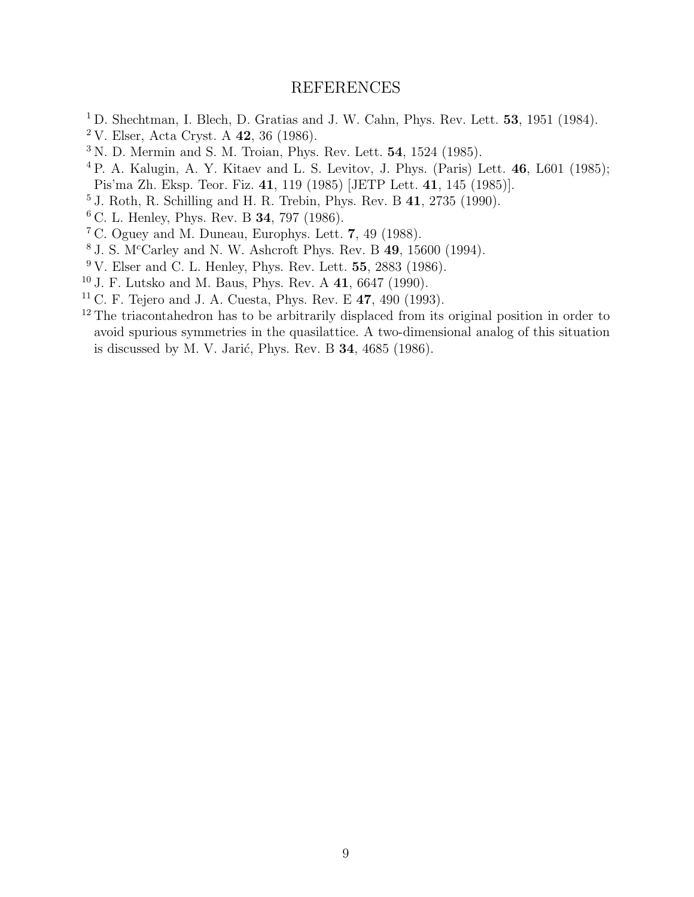## REFERENCES

- <span id="page-8-0"></span><sup>1</sup> D. Shechtman, I. Blech, D. Gratias and J. W. Cahn, Phys. Rev. Lett. **53**, 1951 (1984).
- V. Elser, Acta Cryst. A 42, 36 (1986).
- N. D. Mermin and S. M. Troian, Phys. Rev. Lett.  $54$ , 1524 (1985).
- P. A. Kalugin, A. Y. Kitaev and L. S. Levitov, J. Phys. (Paris) Lett. 46, L601 (1985); Pis'ma Zh. Eksp. Teor. Fiz. 41, 119 (1985) [JETP Lett. 41, 145 (1985)].
- $^5$  J. Roth, R. Schilling and H. R. Trebin, Phys. Rev. B  $41, 2735$  (1990).
- C. L. Henley, Phys. Rev. B 34, 797 (1986).
- C. Oguey and M. Duneau, Europhys. Lett. 7, 49 (1988).
- J. S. M<sup>c</sup>Carley and N. W. Ashcroft Phys. Rev. B 49, 15600 (1994).
- V. Elser and C. L. Henley, Phys. Rev. Lett. 55, 2883 (1986).
- J. F. Lutsko and M. Baus, Phys. Rev. A 41, 6647 (1990).
- C. F. Tejero and J. A. Cuesta, Phys. Rev. E 47, 490 (1993).
- <sup>12</sup> The triacontahedron has to be arbitrarily displaced from its original position in order to avoid spurious symmetries in the quasilattice. A two-dimensional analog of this situation is discussed by M. V. Jarić, Phys. Rev. B , 4685 (1986).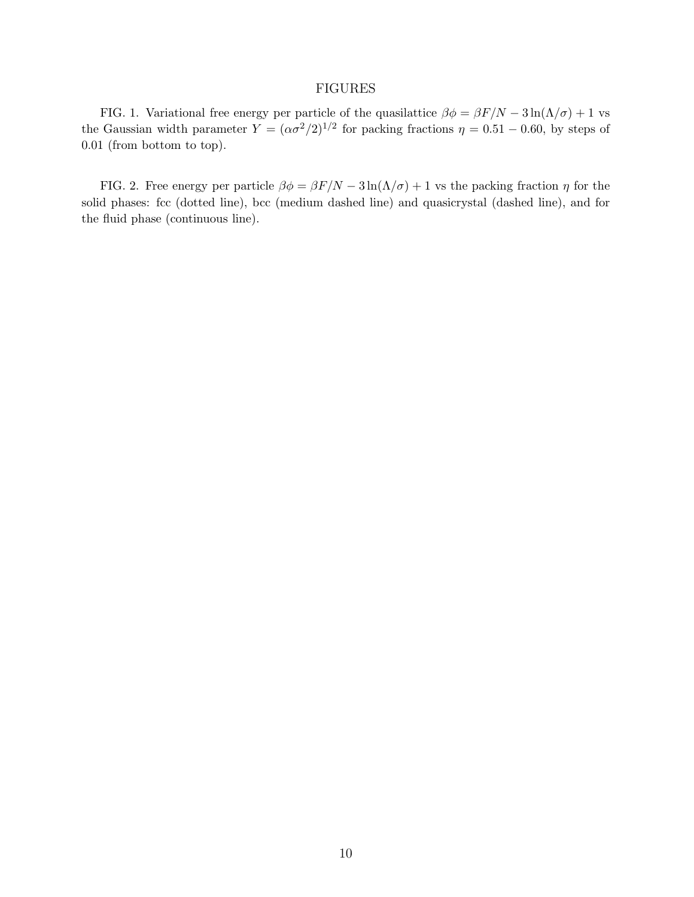## FIGURES

FIG. 1. Variational free energy per particle of the quasilattice  $\beta \phi = \beta F/N - 3 \ln(\Lambda/\sigma) + 1$  vs the Gaussian width parameter  $Y = (\alpha \sigma^2/2)^{1/2}$  for packing fractions  $\eta = 0.51 - 0.60$ , by steps of 0.01 (from bottom to top).

FIG. 2. Free energy per particle  $\beta \phi = \beta F/N - 3 \ln(\Lambda/\sigma) + 1$  vs the packing fraction  $\eta$  for the solid phases: fcc (dotted line), bcc (medium dashed line) and quasicrystal (dashed line), and for the fluid phase (continuous line).